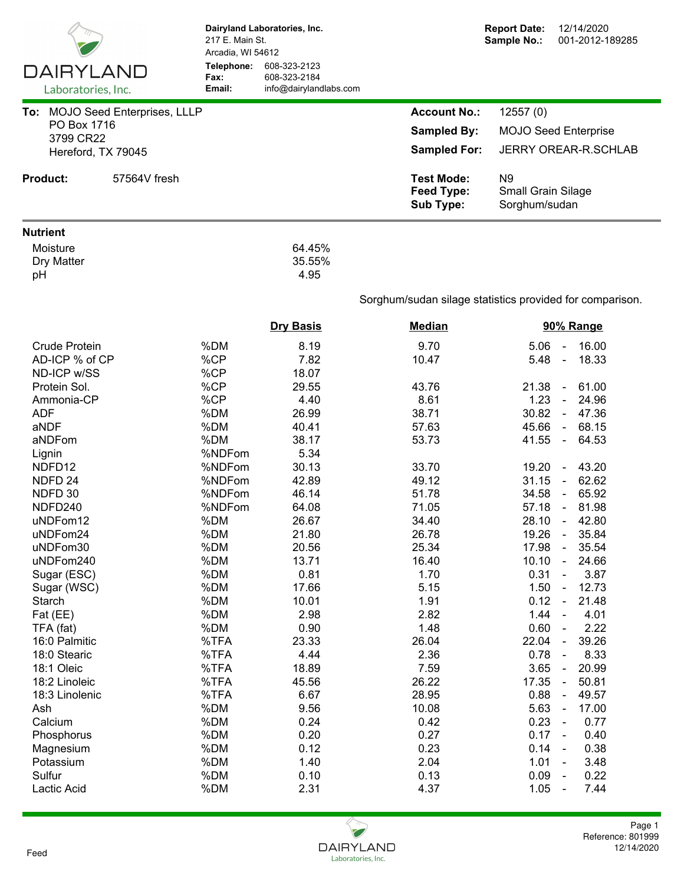| DAIRYLAND                       | 217 E. Main St.<br>Arcadia, WI 54612<br>Telephone:<br>Fax: | Dairyland Laboratories, Inc.<br>608-323-2123<br>608-323-2184 |                                                     | <b>Report Date:</b><br>12/14/2020<br>Sample No.:<br>001-2012-189285 |  |  |  |  |
|---------------------------------|------------------------------------------------------------|--------------------------------------------------------------|-----------------------------------------------------|---------------------------------------------------------------------|--|--|--|--|
| Laboratories, Inc.              | Email:                                                     | info@dairylandlabs.com                                       |                                                     |                                                                     |  |  |  |  |
| To: MOJO Seed Enterprises, LLLP |                                                            |                                                              | <b>Account No.:</b>                                 | 12557(0)                                                            |  |  |  |  |
| PO Box 1716                     |                                                            |                                                              | <b>Sampled By:</b>                                  | <b>MOJO Seed Enterprise</b>                                         |  |  |  |  |
| 3799 CR22                       |                                                            |                                                              |                                                     |                                                                     |  |  |  |  |
| Hereford, TX 79045              |                                                            |                                                              | <b>Sampled For:</b>                                 | <b>JERRY OREAR-R.SCHLAB</b>                                         |  |  |  |  |
| <b>Product:</b><br>57564V fresh |                                                            |                                                              | <b>Test Mode:</b><br><b>Feed Type:</b><br>Sub Type: | N <sub>9</sub><br><b>Small Grain Silage</b><br>Sorghum/sudan        |  |  |  |  |
| <b>Nutrient</b>                 |                                                            |                                                              |                                                     |                                                                     |  |  |  |  |
| Moisture<br>Dry Matter<br>pH    |                                                            | 64.45%<br>35.55%<br>4.95                                     |                                                     |                                                                     |  |  |  |  |
|                                 |                                                            |                                                              |                                                     | Sorghum/sudan silage statistics provided for comparison.            |  |  |  |  |
|                                 | <b>Dry Basis</b>                                           |                                                              | <b>Median</b>                                       | 90% Range                                                           |  |  |  |  |
| <b>Crude Protein</b>            | %DM                                                        | 8.19                                                         | 9.70                                                | 16.00<br>5.06<br>$\blacksquare$                                     |  |  |  |  |
| AD-ICP % of CP                  | %CP                                                        | 7.82                                                         | 10.47                                               | 5.48<br>18.33<br>$\blacksquare$                                     |  |  |  |  |
| ND-ICP w/SS                     | %CP                                                        | 18.07                                                        |                                                     |                                                                     |  |  |  |  |
| Protein Sol.                    | %CP                                                        | 29.55                                                        | 43.76                                               | 21.38<br>61.00<br>$\blacksquare$                                    |  |  |  |  |
| Ammonia-CP                      | %CP                                                        | 4.40                                                         | 8.61                                                | 24.96<br>1.23<br>$\sim$                                             |  |  |  |  |
| <b>ADF</b>                      | %DM                                                        | 26.99                                                        | 38.71                                               | 30.82<br>$-47.36$                                                   |  |  |  |  |
| aNDF                            | %DM                                                        | 40.41                                                        | 57.63                                               | 68.15<br>45.66<br>$\sim$                                            |  |  |  |  |
| aNDFom                          | %DM                                                        | 38.17                                                        | 53.73                                               | 41.55<br>64.53<br>$\blacksquare$                                    |  |  |  |  |
| Lignin                          | %NDFom                                                     | 5.34                                                         |                                                     |                                                                     |  |  |  |  |
| NDFD12                          | %NDFom                                                     | 30.13                                                        | 33.70                                               | 19.20<br>43.20<br>$\blacksquare$                                    |  |  |  |  |
| NDFD <sub>24</sub>              | %NDFom                                                     | 42.89                                                        | 49.12                                               | 62.62<br>31.15<br>$\blacksquare$                                    |  |  |  |  |
| NDFD 30                         | %NDFom                                                     | 46.14                                                        | 51.78                                               | 34.58<br>65.92<br>$\blacksquare$                                    |  |  |  |  |
| NDFD240                         | %NDFom                                                     | 64.08                                                        | 71.05                                               | 57.18<br>$-81.98$                                                   |  |  |  |  |
| uNDFom12                        | %DM                                                        | 26.67                                                        | 34.40                                               | 28.10<br>42.80                                                      |  |  |  |  |
| uNDFom24                        | %DM                                                        | 21.80                                                        | 26.78                                               | $19.26 -$<br>35.84                                                  |  |  |  |  |
| uNDFom30                        | %DM                                                        | 20.56                                                        | 25.34                                               | 17.98<br>35.54<br>$\blacksquare$                                    |  |  |  |  |
| uNDFom240                       | %DM                                                        | 13.71                                                        | 16.40                                               | 10.10<br>24.66<br>$\blacksquare$                                    |  |  |  |  |
| Sugar (ESC)                     | %DM                                                        | 0.81                                                         | 1.70                                                | 0.31<br>3.87<br>$\blacksquare$                                      |  |  |  |  |
| Sugar (WSC)                     | %DM                                                        | 17.66                                                        | 5.15                                                | 1.50<br>12.73<br>$\blacksquare$                                     |  |  |  |  |
| Starch                          | %DM                                                        | 10.01                                                        | 1.91                                                | 21.48<br>0.12<br>$\blacksquare$                                     |  |  |  |  |
| Fat (EE)                        | %DM                                                        | 2.98                                                         | 2.82                                                | 1.44<br>4.01<br>$\blacksquare$                                      |  |  |  |  |
| TFA (fat)                       | %DM                                                        | 0.90                                                         | 1.48                                                | 2.22<br>0.60<br>$\blacksquare$                                      |  |  |  |  |
| 16:0 Palmitic                   | %TFA                                                       | 23.33                                                        | 26.04                                               | 39.26<br>22.04<br>$\blacksquare$                                    |  |  |  |  |
| 18:0 Stearic                    | %TFA                                                       | 4.44                                                         | 2.36                                                | 8.33<br>0.78<br>$\blacksquare$                                      |  |  |  |  |
| 18:1 Oleic                      | %TFA                                                       | 18.89                                                        | 7.59                                                | 3.65<br>20.99<br>$\blacksquare$                                     |  |  |  |  |
| 18:2 Linoleic                   | %TFA                                                       | 45.56                                                        | 26.22                                               | 17.35<br>50.81<br>$\blacksquare$                                    |  |  |  |  |
| 18:3 Linolenic                  | %TFA                                                       | 6.67                                                         | 28.95                                               | 0.88<br>49.57<br>$\blacksquare$                                     |  |  |  |  |
| Ash                             | %DM                                                        | 9.56                                                         | 10.08                                               | 5.63<br>17.00<br>$\blacksquare$                                     |  |  |  |  |
| Calcium                         | %DM                                                        | 0.24                                                         | 0.42                                                | 0.23<br>0.77<br>$\blacksquare$                                      |  |  |  |  |
| Phosphorus                      | %DM                                                        | 0.20                                                         | 0.27                                                | 0.17<br>0.40<br>$\sim$                                              |  |  |  |  |
| Magnesium                       | %DM                                                        | 0.12                                                         | 0.23                                                | 0.14<br>0.38<br>$\blacksquare$                                      |  |  |  |  |
| Potassium                       | %DM                                                        | 1.40                                                         | 2.04                                                | 1.01<br>3.48<br>$\blacksquare$                                      |  |  |  |  |
| Sulfur                          | %DM                                                        | 0.10                                                         | 0.13                                                | 0.22<br>0.09<br>$\blacksquare$                                      |  |  |  |  |
| Lactic Acid                     | %DM                                                        | 2.31                                                         | 4.37                                                | 1.05<br>7.44<br>$\blacksquare$                                      |  |  |  |  |
|                                 |                                                            |                                                              |                                                     |                                                                     |  |  |  |  |